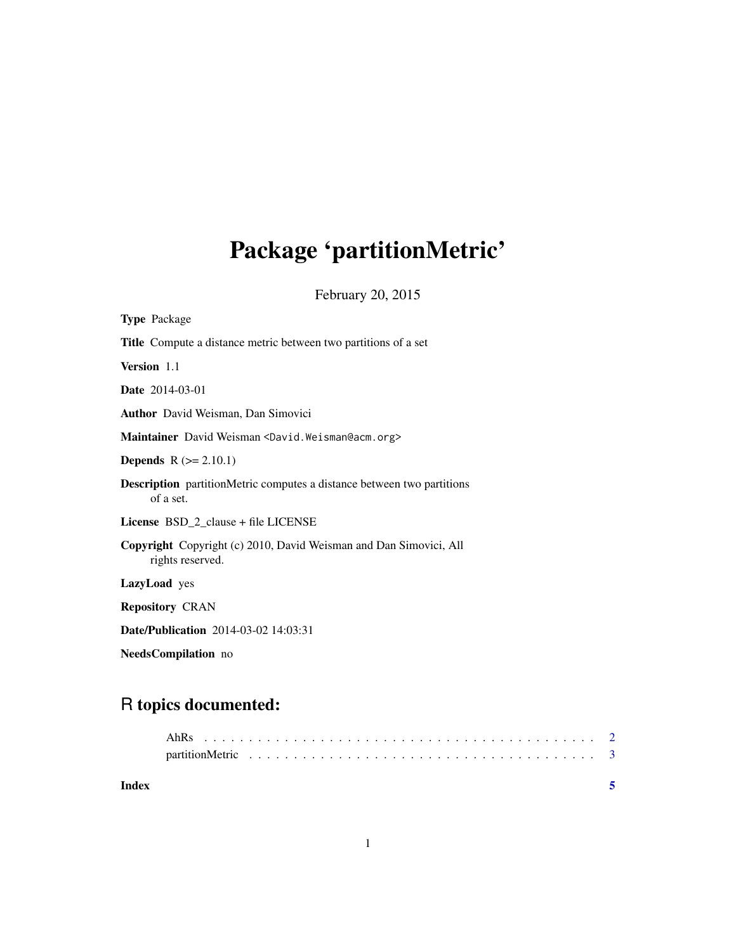## <span id="page-0-0"></span>Package 'partitionMetric'

February 20, 2015

| <b>Type Package</b>                                                                        |
|--------------------------------------------------------------------------------------------|
| <b>Title</b> Compute a distance metric between two partitions of a set                     |
| Version 1.1                                                                                |
| <b>Date</b> 2014-03-01                                                                     |
| <b>Author</b> David Weisman, Dan Simovici                                                  |
| Maintainer David Weisman <david. weisman@acm.org=""></david.>                              |
| <b>Depends</b> $R (= 2.10.1)$                                                              |
| <b>Description</b> partitionMetric computes a distance between two partitions<br>of a set. |
| License BSD_2_clause + file LICENSE                                                        |
| Copyright Copyright (c) 2010, David Weisman and Dan Simovici, All<br>rights reserved.      |
| LazyLoad yes                                                                               |
| <b>Repository CRAN</b>                                                                     |
| <b>Date/Publication</b> 2014-03-02 14:03:31                                                |
| NeedsCompilation no                                                                        |

### R topics documented:

1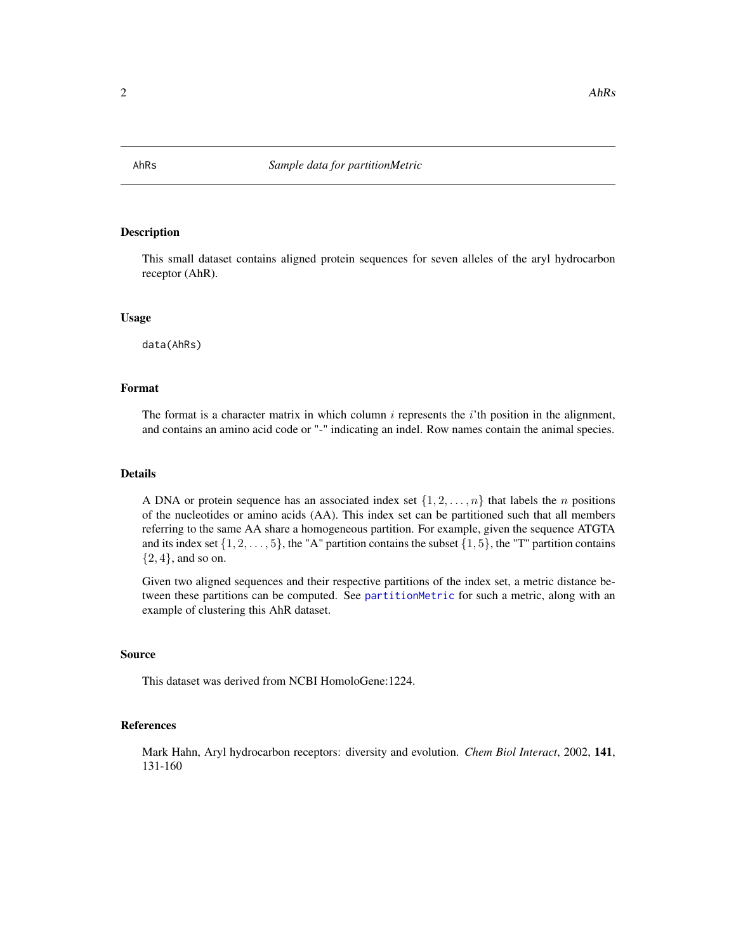<span id="page-1-0"></span>

#### Description

This small dataset contains aligned protein sequences for seven alleles of the aryl hydrocarbon receptor (AhR).

#### Usage

data(AhRs)

#### Format

The format is a character matrix in which column  $i$  represents the  $i$ 'th position in the alignment, and contains an amino acid code or "-" indicating an indel. Row names contain the animal species.

#### Details

A DNA or protein sequence has an associated index set  $\{1, 2, \ldots, n\}$  that labels the *n* positions of the nucleotides or amino acids (AA). This index set can be partitioned such that all members referring to the same AA share a homogeneous partition. For example, given the sequence ATGTA and its index set  $\{1, 2, \ldots, 5\}$ , the "A" partition contains the subset  $\{1, 5\}$ , the "T" partition contains  $\{2,4\}$ , and so on.

Given two aligned sequences and their respective partitions of the index set, a metric distance between these partitions can be computed. See [partitionMetric](#page-2-1) for such a metric, along with an example of clustering this AhR dataset.

#### Source

This dataset was derived from NCBI HomoloGene:1224.

#### References

Mark Hahn, Aryl hydrocarbon receptors: diversity and evolution. *Chem Biol Interact*, 2002, 141, 131-160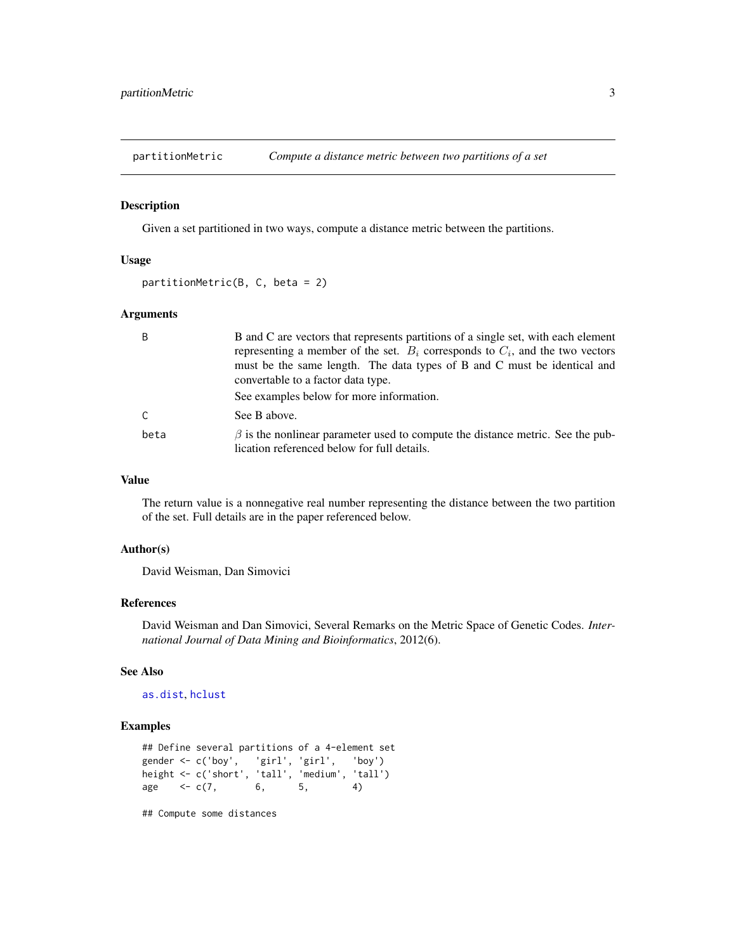<span id="page-2-1"></span><span id="page-2-0"></span>

#### Description

Given a set partitioned in two ways, compute a distance metric between the partitions.

#### Usage

```
partitionMetric(B, C, beta = 2)
```
#### Arguments

| B    | B and C are vectors that represents partitions of a single set, with each element                                                   |
|------|-------------------------------------------------------------------------------------------------------------------------------------|
|      | representing a member of the set. $B_i$ corresponds to $C_i$ , and the two vectors                                                  |
|      | must be the same length. The data types of B and C must be identical and                                                            |
|      | convertable to a factor data type.                                                                                                  |
|      | See examples below for more information.                                                                                            |
| C    | See B above.                                                                                                                        |
| beta | $\beta$ is the nonlinear parameter used to compute the distance metric. See the pub-<br>lication referenced below for full details. |

#### Value

The return value is a nonnegative real number representing the distance between the two partition of the set. Full details are in the paper referenced below.

#### Author(s)

David Weisman, Dan Simovici

#### References

David Weisman and Dan Simovici, Several Remarks on the Metric Space of Genetic Codes. *International Journal of Data Mining and Bioinformatics*, 2012(6).

#### See Also

#### [as.dist](#page-0-0), [hclust](#page-0-0)

#### Examples

```
## Define several partitions of a 4-element set
gender <- c('boy', 'girl', 'girl', 'boy')
height <- c('short', 'tall', 'medium', 'tall')
age <-c(7, 6, 5, 4)
```
## Compute some distances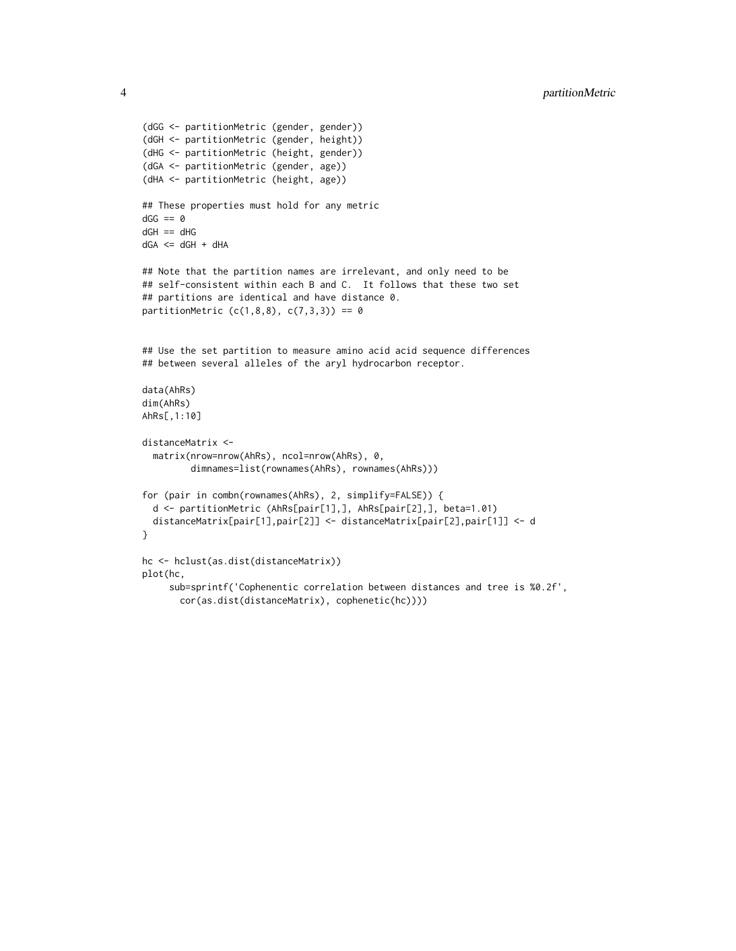```
(dGG <- partitionMetric (gender, gender))
(dGH <- partitionMetric (gender, height))
(dHG <- partitionMetric (height, gender))
(dGA <- partitionMetric (gender, age))
(dHA <- partitionMetric (height, age))
## These properties must hold for any metric
dGG == 0dGH == dHGdGA \leq ddGH + dHA## Note that the partition names are irrelevant, and only need to be
## self-consistent within each B and C. It follows that these two set
## partitions are identical and have distance 0.
partitionMetric (c(1,8,8), c(7,3,3)) == 0## Use the set partition to measure amino acid acid sequence differences
## between several alleles of the aryl hydrocarbon receptor.
data(AhRs)
dim(AhRs)
AhRs[,1:10]
distanceMatrix <-
  matrix(nrow=nrow(AhRs), ncol=nrow(AhRs), 0,
         dimnames=list(rownames(AhRs), rownames(AhRs)))
for (pair in combn(rownames(AhRs), 2, simplify=FALSE)) {
  d <- partitionMetric (AhRs[pair[1],], AhRs[pair[2],], beta=1.01)
  distanceMatrix[pair[1],pair[2]] <- distanceMatrix[pair[2],pair[1]] <- d
}
hc <- hclust(as.dist(distanceMatrix))
plot(hc,
     sub=sprintf('Cophenentic correlation between distances and tree is %0.2f',
       cor(as.dist(distanceMatrix), cophenetic(hc))))
```